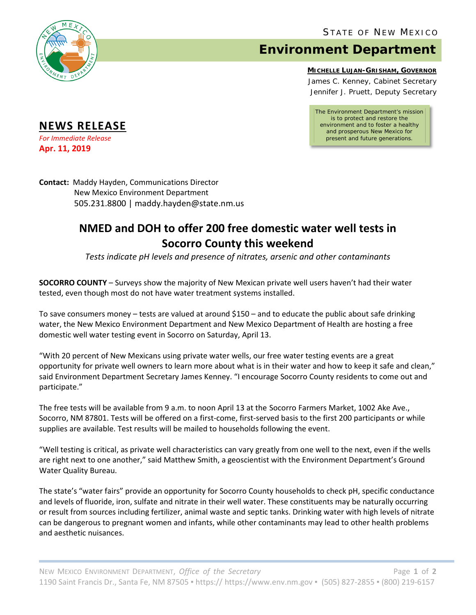

## **Environment Department**

## **MICHELLE LUJAN-GRISHAM, GOVERNOR**

James C. Kenney, Cabinet Secretary Jennifer J. Pruett, Deputy Secretary

*The Environment Department's mission is to protect and restore the environment and to foster a healthy and prosperous New Mexico for present and future generations.*

**NEWS RELEASE**

*For Immediate Release* **Apr. 11, 2019**

**Contact:** Maddy Hayden, Communications Director New Mexico Environment Department 505.231.8800 | maddy.hayden@state.nm.us

## **NMED and DOH to offer 200 free domestic water well tests in Socorro County this weekend**

*Tests indicate pH levels and presence of nitrates, arsenic and other contaminants*

**SOCORRO COUNTY** – Surveys show the majority of New Mexican private well users haven't had their water tested, even though most do not have water treatment systems installed.

To save consumers money – tests are valued at around \$150 – and to educate the public about safe drinking water, the New Mexico Environment Department and New Mexico Department of Health are hosting a free domestic well water testing event in Socorro on Saturday, April 13.

"With 20 percent of New Mexicans using private water wells, our free water testing events are a great opportunity for private well owners to learn more about what is in their water and how to keep it safe and clean," said Environment Department Secretary James Kenney. "I encourage Socorro County residents to come out and participate."

The free tests will be available from 9 a.m. to noon April 13 at the Socorro Farmers Market, 1002 Ake Ave., Socorro, NM 87801. Tests will be offered on a first-come, first-served basis to the first 200 participants or while supplies are available. Test results will be mailed to households following the event.

"Well testing is critical, as private well characteristics can vary greatly from one well to the next, even if the wells are right next to one another," said Matthew Smith, a geoscientist with the Environment Department's Ground Water Quality Bureau.

The state's "water fairs" provide an opportunity for Socorro County households to check pH, specific conductance and levels of fluoride, iron, sulfate and nitrate in their well water. These constituents may be naturally occurring or result from sources including fertilizer, animal waste and septic tanks. Drinking water with high levels of nitrate can be dangerous to pregnant women and infants, while other contaminants may lead to other health problems and aesthetic nuisances.